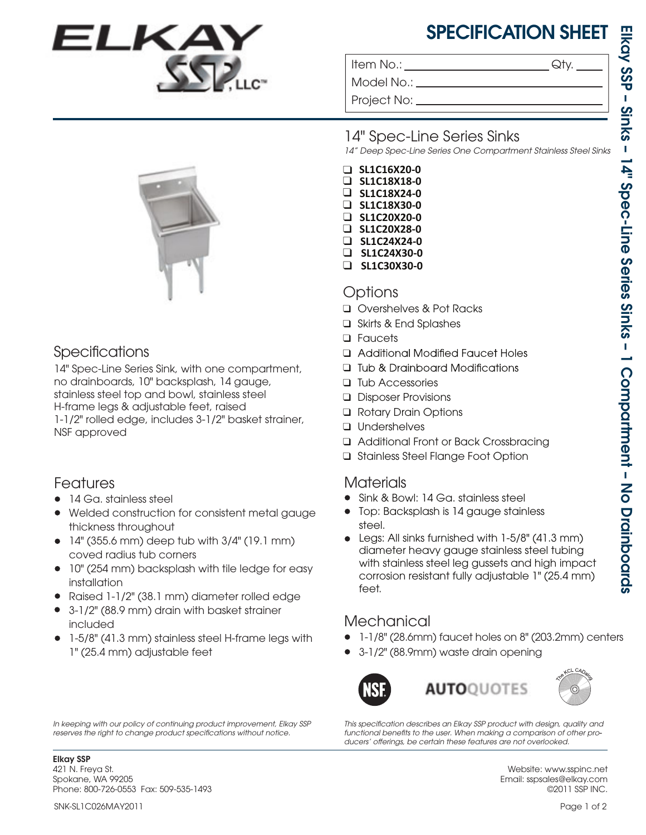# SPECIFICATION SHEET

Item No.:  $\qquad \qquad \mathsf{Qty}.$ 

Model No.: \_ Project No: 14" Spec-Line Series Sinks *14" Deep Spec-Line Series One Compartment Stainless Steel Sinks* ❑ **SL1C20X28-0** ❑ **SL1C24X24-0** ❑ **SL1C16X20-0** ❑ **SL1C18X18-0** ❑ **SL1C18X24-0** ❑ **SL1C18X30-0** ❑ **SL1C20X20-0** ❑ **SL1C24X30-0** ❑ **SL1C30X30-0**

#### Options

- ❑ Overshelves & Pot Racks
- ❑ Skirts & End Splashes
- ❑Faucets
- □ Additional Modified Faucet Holes
- □ Tub & Drainboard Modifications
- ❑Tub Accessories
- ❑ Disposer Provisions
- ❑ Rotary Drain Options
- ❑Undershelves
- ❑ Additional Front or Back Crossbracing
- ❑Stainless Steel Flange Foot Option

## Materials

- Sink & Bowl: 14 Ga. stainless steel •
- Top: Backsplash is 14 gauge stainless steel.
- Legs: All sinks furnished with 1-5/8" (41.3 mm) diameter heavy gauge stainless steel tubing with stainless steel leg gussets and high impact corrosion resistant fully adjustable 1" (25.4 mm) feet.

## **Mechanical**

- 1-1/8" (28.6mm) faucet holes on 8" (203.2mm) centers •
- 3-1/2" (88.9mm) waste drain opening •



This specification describes an Elkay SSP product with design, quality and *functional benets to the user. When making a comparison of other pro-* ducers' offerings, be certain these features are not overlooked.

Elkay SSP 421 N. Freya St. Spokane, WA 99205 Phone: 800-726-0553 Fax: 509-535-1493

SNK-SL1C026MAY2011

Specifications

14" Spec-Line Series Sink, with one compartment, no drainboards, 10" backsplash, 14 gauge, stainless steel top and bowl, stainless steel H-frame legs & adjustable feet, raised 1-1/2" rolled edge, includes 3-1/2" basket strainer, NSF approved

## Features

- 14 Ga. stainless steel
- Welded construction for consistent metal gauge thickness throughout
- $\bullet$  14" (355.6 mm) deep tub with 3/4" (19.1 mm) coved radius tub corners
- 10" (254 mm) backsplash with tile ledge for easy installation
- Raised 1-1/2" (38.1 mm) diameter rolled edge •
- 3-1/2" (88.9 mm) drain with basket strainer included
- 1-5/8" (41.3 mm) stainless steel H-frame legs with 1" (25.4 mm) adjustable feet

*In keeping with our policy of continuing product improvement, Elkay SSP*  reserves the right to change product specifications without notice.